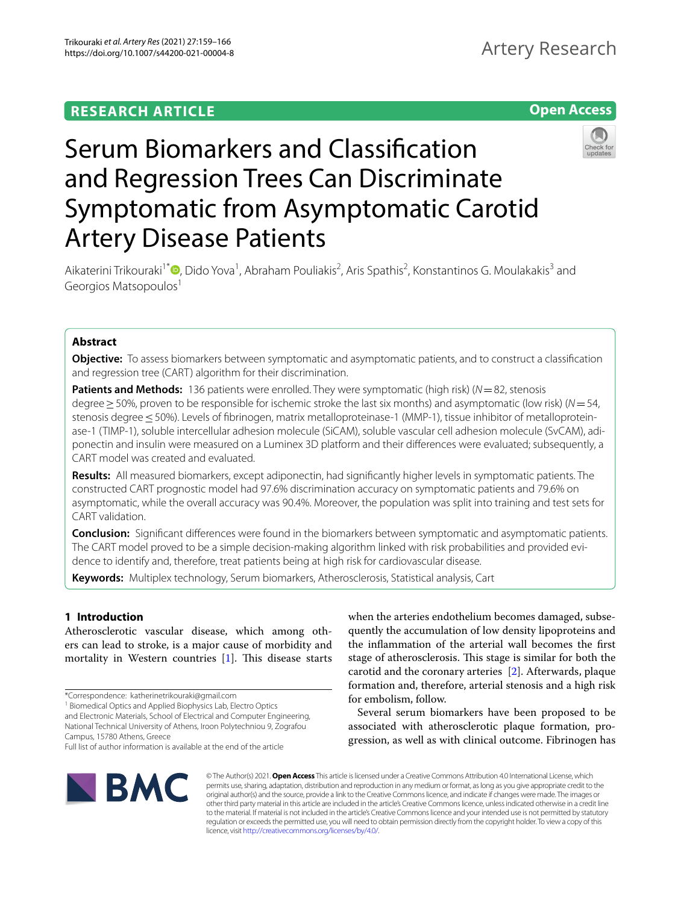## **RESEARCH ARTICLE**





# Serum Biomarkers and Classifcation and Regression Trees Can Discriminate Symptomatic from Asymptomatic Carotid Artery Disease Patients

Aikaterini Trikouraki<sup>1[\\*](http://orcid.org/0000-0002-4294-577X)</sup> (**D**, Dido Yova<sup>1</sup>, Abraham Pouliakis<sup>2</sup>, Aris Spathis<sup>2</sup>, Konstantinos G. Moulakakis<sup>3</sup> and Georgios Matsopoulos<sup>1</sup>

## **Abstract**

**Objective:** To assess biomarkers between symptomatic and asymptomatic patients, and to construct a classifcation and regression tree (CART) algorithm for their discrimination.

**Patients and Methods:** 136 patients were enrolled. They were symptomatic (high risk) ( $N=82$ , stenosis degree≥50%, proven to be responsible for ischemic stroke the last six months) and asymptomatic (low risk) (*N*=54, stenosis degree ≤50%). Levels of fibrinogen, matrix metalloproteinase-1 (MMP-1), tissue inhibitor of metalloproteinase-1 (TIMP-1), soluble intercellular adhesion molecule (SiCAM), soluble vascular cell adhesion molecule (SvCAM), adiponectin and insulin were measured on a Luminex 3D platform and their diferences were evaluated; subsequently, a CART model was created and evaluated.

**Results:** All measured biomarkers, except adiponectin, had signifcantly higher levels in symptomatic patients. The constructed CART prognostic model had 97.6% discrimination accuracy on symptomatic patients and 79.6% on asymptomatic, while the overall accuracy was 90.4%. Moreover, the population was split into training and test sets for CART validation.

**Conclusion:** Signifcant diferences were found in the biomarkers between symptomatic and asymptomatic patients. The CART model proved to be a simple decision-making algorithm linked with risk probabilities and provided evidence to identify and, therefore, treat patients being at high risk for cardiovascular disease.

**Keywords:** Multiplex technology, Serum biomarkers, Atherosclerosis, Statistical analysis, Cart

## **1 Introduction**

Atherosclerotic vascular disease, which among others can lead to stroke, is a major cause of morbidity and mortality in Western countries  $[1]$ . This disease starts

<sup>1</sup> Biomedical Optics and Applied Biophysics Lab, Electro Optics and Electronic Materials, School of Electrical and Computer Engineering, National Technical University of Athens, Iroon Polytechniou 9, Zografou Campus, 15780 Athens, Greece

when the arteries endothelium becomes damaged, subsequently the accumulation of low density lipoproteins and the infammation of the arterial wall becomes the frst stage of atherosclerosis. This stage is similar for both the carotid and the coronary arteries [\[2](#page-7-1)]. Afterwards, plaque formation and, therefore, arterial stenosis and a high risk for embolism, follow.

Several serum biomarkers have been proposed to be associated with atherosclerotic plaque formation, progression, as well as with clinical outcome. Fibrinogen has



© The Author(s) 2021. **Open Access** This article is licensed under a Creative Commons Attribution 4.0 International License, which permits use, sharing, adaptation, distribution and reproduction in any medium or format, as long as you give appropriate credit to the original author(s) and the source, provide a link to the Creative Commons licence, and indicate if changes were made. The images or other third party material in this article are included in the article's Creative Commons licence, unless indicated otherwise in a credit line to the material. If material is not included in the article's Creative Commons licence and your intended use is not permitted by statutory regulation or exceeds the permitted use, you will need to obtain permission directly from the copyright holder. To view a copy of this licence, visit [http://creativecommons.org/licenses/by/4.0/.](http://creativecommons.org/licenses/by/4.0/)

<sup>\*</sup>Correspondence: katherinetrikouraki@gmail.com

Full list of author information is available at the end of the article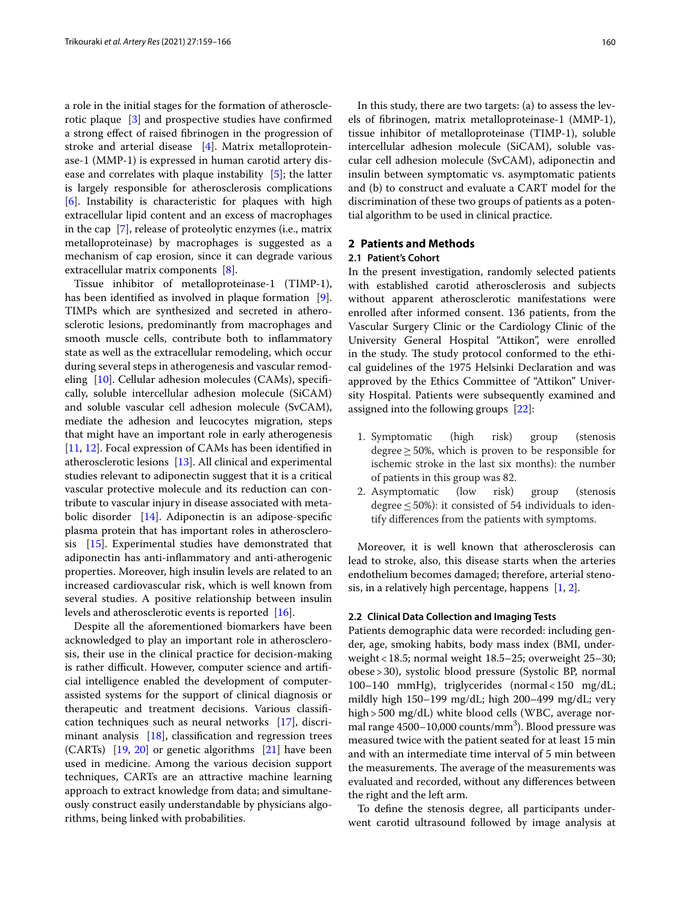a role in the initial stages for the formation of atherosclerotic plaque [\[3](#page-7-2)] and prospective studies have confrmed a strong efect of raised fbrinogen in the progression of stroke and arterial disease [[4\]](#page-7-3). Matrix metalloproteinase-1 (MMP-1) is expressed in human carotid artery disease and correlates with plaque instability [[5](#page-7-4)]; the latter is largely responsible for atherosclerosis complications [[6\]](#page-7-5). Instability is characteristic for plaques with high extracellular lipid content and an excess of macrophages in the cap [[7\]](#page-7-6), release of proteolytic enzymes (i.e., matrix metalloproteinase) by macrophages is suggested as a mechanism of cap erosion, since it can degrade various extracellular matrix components [[8](#page-7-7)].

Tissue inhibitor of metalloproteinase-1 (TIMP-1), has been identifed as involved in plaque formation [\[9](#page-7-8)]. TIMPs which are synthesized and secreted in atherosclerotic lesions, predominantly from macrophages and smooth muscle cells, contribute both to infammatory state as well as the extracellular remodeling, which occur during several steps in atherogenesis and vascular remodeling [\[10](#page-7-9)]. Cellular adhesion molecules (CAMs), specifcally, soluble intercellular adhesion molecule (SiCAM) and soluble vascular cell adhesion molecule (SvCAM), mediate the adhesion and leucocytes migration, steps that might have an important role in early atherogenesis [[11,](#page-7-10) [12](#page-7-11)]. Focal expression of CAMs has been identifed in atherosclerotic lesions [[13](#page-7-12)]. All clinical and experimental studies relevant to adiponectin suggest that it is a critical vascular protective molecule and its reduction can contribute to vascular injury in disease associated with metabolic disorder [\[14\]](#page-7-13). Adiponectin is an adipose-specifc plasma protein that has important roles in atherosclerosis [[15\]](#page-7-14). Experimental studies have demonstrated that adiponectin has anti-infammatory and anti-atherogenic properties. Moreover, high insulin levels are related to an increased cardiovascular risk, which is well known from several studies. Α positive relationship between insulin levels and atherosclerotic events is reported [[16\]](#page-7-15).

Despite all the aforementioned biomarkers have been acknowledged to play an important role in atherosclerosis, their use in the clinical practice for decision-making is rather difficult. However, computer science and artificial intelligence enabled the development of computerassisted systems for the support of clinical diagnosis or therapeutic and treatment decisions. Various classifcation techniques such as neural networks [\[17](#page-7-16)], discriminant analysis [[18](#page-7-17)], classifcation and regression trees (CARTs) [\[19,](#page-7-18) [20](#page-7-19)] or genetic algorithms [\[21](#page-7-20)] have been used in medicine. Among the various decision support techniques, CARTs are an attractive machine learning approach to extract knowledge from data; and simultaneously construct easily understandable by physicians algorithms, being linked with probabilities.

In this study, there are two targets: (a) to assess the levels of fbrinogen, matrix metalloproteinase-1 (MMP-1), tissue inhibitor of metalloproteinase (TIMP-1), soluble intercellular adhesion molecule (SiCAM), soluble vascular cell adhesion molecule (SvCAM), adiponectin and insulin between symptomatic vs. asymptomatic patients and (b) to construct and evaluate a CART model for the discrimination of these two groups of patients as a potential algorithm to be used in clinical practice.

## **2 Patients and Methods**

## **2.1 Patient's Cohort**

In the present investigation, randomly selected patients with established carotid atherosclerosis and subjects without apparent atherosclerotic manifestations were enrolled after informed consent. 136 patients, from the Vascular Surgery Clinic or the Cardiology Clinic of the University General Hospital "Attikon", were enrolled in the study. The study protocol conformed to the ethical guidelines of the 1975 Helsinki Declaration and was approved by the Ethics Committee of "Attikon" University Hospital. Patients were subsequently examined and assigned into the following groups [\[22](#page-7-21)]:

- 1. Symptomatic (high risk) group (stenosis degree $\geq$  50%, which is proven to be responsible for ischemic stroke in the last six months): the number of patients in this group was 82.
- 2. Asymptomatic (low risk) group (stenosis degree  $\leq$  50%): it consisted of 54 individuals to identify diferences from the patients with symptoms.

Moreover, it is well known that atherosclerosis can lead to stroke, also, this disease starts when the arteries endothelium becomes damaged; therefore, arterial stenosis, in a relatively high percentage, happens  $[1, 2]$  $[1, 2]$  $[1, 2]$  $[1, 2]$ .

#### **2.2 Clinical Data Collection and Imaging Tests**

Patients demographic data were recorded: including gender, age, smoking habits, body mass index (BMI, underweight<18.5; normal weight 18.5–25; overweight 25–30; obese>30), systolic blood pressure (Systolic BP, normal 100–140 mmHg), triglycerides (normal<150 mg/dL; mildly high 150–199 mg/dL; high 200–499 mg/dL; very high>500 mg/dL) white blood cells (WBC, average normal range 4500-10,000 counts/mm<sup>3</sup>). Blood pressure was measured twice with the patient seated for at least 15 min and with an intermediate time interval of 5 min between the measurements. The average of the measurements was evaluated and recorded, without any diferences between the right and the left arm.

To defne the stenosis degree, all participants underwent carotid ultrasound followed by image analysis at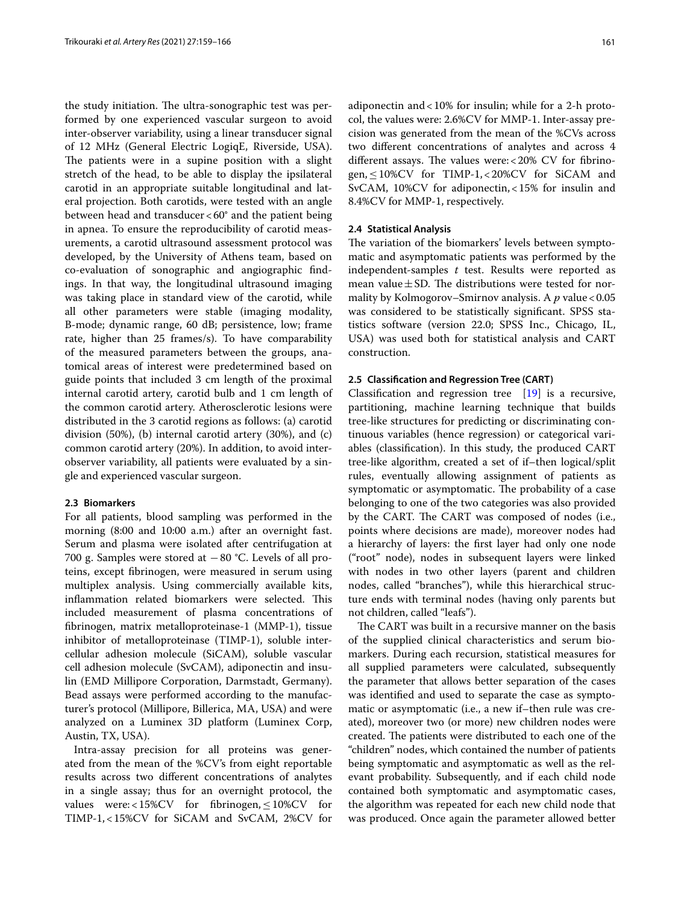the study initiation. The ultra-sonographic test was performed by one experienced vascular surgeon to avoid inter-observer variability, using a linear transducer signal of 12 MHz (General Electric LogiqE, Riverside, USA). The patients were in a supine position with a slight stretch of the head, to be able to display the ipsilateral carotid in an appropriate suitable longitudinal and lateral projection. Both carotids, were tested with an angle between head and transducer  $< 60^\circ$  and the patient being in apnea. To ensure the reproducibility of carotid measurements, a carotid ultrasound assessment protocol was developed, by the University of Athens team, based on co-evaluation of sonographic and angiographic fndings. In that way, the longitudinal ultrasound imaging was taking place in standard view of the carotid, while all other parameters were stable (imaging modality, B-mode; dynamic range, 60 dB; persistence, low; frame rate, higher than 25 frames/s). To have comparability of the measured parameters between the groups, anatomical areas of interest were predetermined based on guide points that included 3 cm length of the proximal internal carotid artery, carotid bulb and 1 cm length of the common carotid artery. Atherosclerotic lesions were distributed in the 3 carotid regions as follows: (a) carotid division (50%), (b) internal carotid artery (30%), and (c) common carotid artery (20%). In addition, to avoid interobserver variability, all patients were evaluated by a single and experienced vascular surgeon.

## **2.3 Biomarkers**

For all patients, blood sampling was performed in the morning (8:00 and 10:00 a.m.) after an overnight fast. Serum and plasma were isolated after centrifugation at 700 g. Samples were stored at −80 °C. Levels of all proteins, except fbrinogen, were measured in serum using multiplex analysis. Using commercially available kits, inflammation related biomarkers were selected. This included measurement of plasma concentrations of fbrinogen, matrix metalloproteinase-1 (MMP-1), tissue inhibitor of metalloproteinase (TIMP-1), soluble intercellular adhesion molecule (SiCAM), soluble vascular cell adhesion molecule (SvCAM), adiponectin and insulin (EMD Millipore Corporation, Darmstadt, Germany). Bead assays were performed according to the manufacturer's protocol (Millipore, Billerica, MA, USA) and were analyzed on a Luminex 3D platform (Luminex Corp, Austin, TX, USA).

Intra-assay precision for all proteins was generated from the mean of the %CV's from eight reportable results across two diferent concentrations of analytes in a single assay; thus for an overnight protocol, the values were:<15%CV for fibrinogen, ≤10%CV for TIMP-1,<15%CV for SiCAM and SvCAM, 2%CV for adiponectin and<10% for insulin; while for a 2-h protocol, the values were: 2.6%CV for MMP-1. Inter-assay precision was generated from the mean of the %CVs across two diferent concentrations of analytes and across 4 different assays. The values were: <  $20\%$  CV for fibrinogen,≤10%CV for TIMP-1,<20%CV for SiCAM and SvCAM, 10%CV for adiponectin,<15% for insulin and 8.4%CV for MMP-1, respectively.

## **2.4 Statistical Analysis**

The variation of the biomarkers' levels between symptomatic and asymptomatic patients was performed by the independent-samples *t* test. Results were reported as mean value $\pm$ SD. The distributions were tested for normality by Kolmogorov–Smirnov analysis. A p value < 0.05 was considered to be statistically signifcant. SPSS statistics software (version 22.0; SPSS Inc., Chicago, IL, USA) was used both for statistical analysis and CART construction.

## **2.5 Classifcation and Regression Tree (CART)**

Classifcation and regression tree [\[19](#page-7-18)] is a recursive, partitioning, machine learning technique that builds tree-like structures for predicting or discriminating continuous variables (hence regression) or categorical variables (classifcation). In this study, the produced CART tree-like algorithm, created a set of if–then logical/split rules, eventually allowing assignment of patients as symptomatic or asymptomatic. The probability of a case belonging to one of the two categories was also provided by the CART. The CART was composed of nodes (i.e., points where decisions are made), moreover nodes had a hierarchy of layers: the frst layer had only one node ("root" node), nodes in subsequent layers were linked with nodes in two other layers (parent and children nodes, called "branches"), while this hierarchical structure ends with terminal nodes (having only parents but not children, called "leafs").

The CART was built in a recursive manner on the basis of the supplied clinical characteristics and serum biomarkers. During each recursion, statistical measures for all supplied parameters were calculated, subsequently the parameter that allows better separation of the cases was identifed and used to separate the case as symptomatic or asymptomatic (i.e., a new if–then rule was created), moreover two (or more) new children nodes were created. The patients were distributed to each one of the "children" nodes, which contained the number of patients being symptomatic and asymptomatic as well as the relevant probability. Subsequently, and if each child node contained both symptomatic and asymptomatic cases, the algorithm was repeated for each new child node that was produced. Once again the parameter allowed better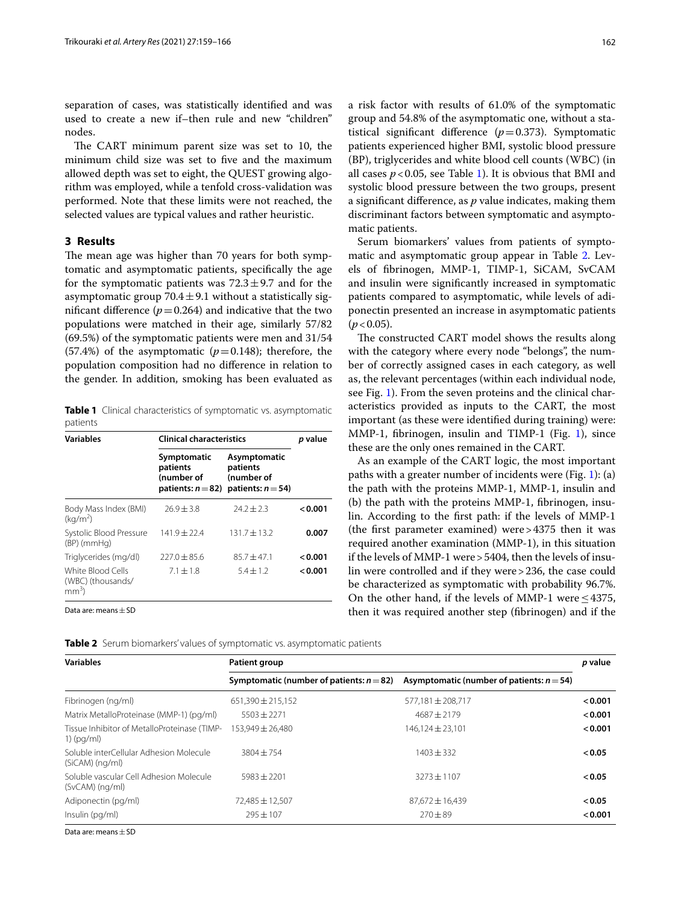separation of cases, was statistically identifed and was used to create a new if–then rule and new "children" nodes.

The CART minimum parent size was set to 10, the minimum child size was set to fve and the maximum allowed depth was set to eight, the QUEST growing algorithm was employed, while a tenfold cross-validation was performed. Note that these limits were not reached, the selected values are typical values and rather heuristic.

## **3 Results**

The mean age was higher than 70 years for both symptomatic and asymptomatic patients, specifcally the age for the symptomatic patients was  $72.3 \pm 9.7$  and for the asymptomatic group  $70.4 \pm 9.1$  without a statistically significant difference  $(p=0.264)$  and indicative that the two populations were matched in their age, similarly 57/82 (69.5%) of the symptomatic patients were men and 31/54 (57.4%) of the asymptomatic  $(p=0.148)$ ; therefore, the population composition had no diference in relation to the gender. In addition, smoking has been evaluated as

<span id="page-3-0"></span>**Table 1** Clinical characteristics of symptomatic vs. asymptomatic patients

| <b>Variables</b>                                  | <b>Clinical characteristics</b>                               | p value                                                        |         |  |
|---------------------------------------------------|---------------------------------------------------------------|----------------------------------------------------------------|---------|--|
|                                                   | Symptomatic<br>patients<br>(number of<br>patients: $n = 82$ ) | Asymptomatic<br>patients<br>(number of<br>patients: $n = 54$ ) |         |  |
| Body Mass Index (BMI)<br>(kq/m <sup>2</sup> )     | $26.9 \pm 3.8$                                                | $74.7 + 7.3$                                                   | 0.001   |  |
| Systolic Blood Pressure<br>$(BP)$ (mm $Hq$ )      | $141.9 \pm 22.4$                                              | $131.7 \pm 13.2$                                               | 0.007   |  |
| Triglycerides (mg/dl)                             | $227.0 + 85.6$                                                | $85.7 + 47.1$                                                  | 0.001   |  |
| White Blood Cells<br>(WBC) (thousands/<br>$mm3$ ) | $7.1 + 1.8$                                                   | $5.4 \pm 1.2$                                                  | < 0.001 |  |

Data are: means±SD

a risk factor with results of 61.0% of the symptomatic group and 54.8% of the asymptomatic one, without a statistical significant difference  $(p=0.373)$ . Symptomatic patients experienced higher BMI, systolic blood pressure (BP), triglycerides and white blood cell counts (WBC) (in all cases  $p < 0.05$ , see Table [1\)](#page-3-0). It is obvious that BMI and systolic blood pressure between the two groups, present a signifcant diference, as *p* value indicates, making them discriminant factors between symptomatic and asymptomatic patients.

Serum biomarkers' values from patients of sympto-matic and asymptomatic group appear in Table [2](#page-3-1). Levels of fbrinogen, MMP-1, TIMP-1, SiCAM, SvCAM and insulin were signifcantly increased in symptomatic patients compared to asymptomatic, while levels of adiponectin presented an increase in asymptomatic patients  $(p < 0.05)$ .

The constructed CART model shows the results along with the category where every node "belongs", the number of correctly assigned cases in each category, as well as, the relevant percentages (within each individual node, see Fig. [1](#page-4-0)). From the seven proteins and the clinical characteristics provided as inputs to the CART, the most important (as these were identifed during training) were: MMP-1, fbrinogen, insulin and TIMP-1 (Fig. [1](#page-4-0)), since these are the only ones remained in the CART.

As an example of the CART logic, the most important paths with a greater number of incidents were (Fig. [1\)](#page-4-0): (a) the path with the proteins MMP-1, MMP-1, insulin and (b) the path with the proteins MMP-1, fbrinogen, insulin. According to the frst path: if the levels of MMP-1 (the frst parameter examined) were>4375 then it was required another examination (MMP-1), in this situation if the levels of MMP-1 were>5404, then the levels of insulin were controlled and if they were>236, the case could be characterized as symptomatic with probability 96.7%. On the other hand, if the levels of MMP-1 were  $\leq$  4375, then it was required another step (fbrinogen) and if the

<span id="page-3-1"></span>

|  | Table 2 Serum biomarkers' values of symptomatic vs. asymptomatic patients |  |  |  |  |
|--|---------------------------------------------------------------------------|--|--|--|--|
|--|---------------------------------------------------------------------------|--|--|--|--|

| <b>Variables</b>                                             | Patient group                               |                                              |         |
|--------------------------------------------------------------|---------------------------------------------|----------------------------------------------|---------|
|                                                              | Symptomatic (number of patients: $n = 82$ ) | Asymptomatic (number of patients: $n = 54$ ) |         |
| Fibrinogen (ng/ml)                                           | $651.390 \pm 215.152$                       | 577.181 ± 208.717                            | < 0.001 |
| Matrix MetalloProteinase (MMP-1) (pg/ml)                     | $5503 \pm 2271$                             | $4687 \pm 2179$                              | < 0.001 |
| Tissue Inhibitor of MetalloProteinase (TIMP-<br>$1)$ (pg/ml) | 153.949 ± 26.480                            | $146.124 \pm 23.101$                         | < 0.001 |
| Soluble interCellular Adhesion Molecule<br>$(SiCAM)$ (ng/ml) | $3804 + 754$                                | $1403 \pm 332$                               | < 0.05  |
| Soluble vascular Cell Adhesion Molecule<br>$(SvCAM)$ (ng/ml) | $5983 + 2201$                               | $3273 + 1107$                                | < 0.05  |
| Adiponectin (pg/ml)                                          | 72,485 ± 12,507                             | $87.672 \pm 16.439$                          | < 0.05  |
| Insulin (pg/ml)                                              | $795 + 107$                                 | $270 \pm 89$                                 | 0.001   |

Data are: means + SD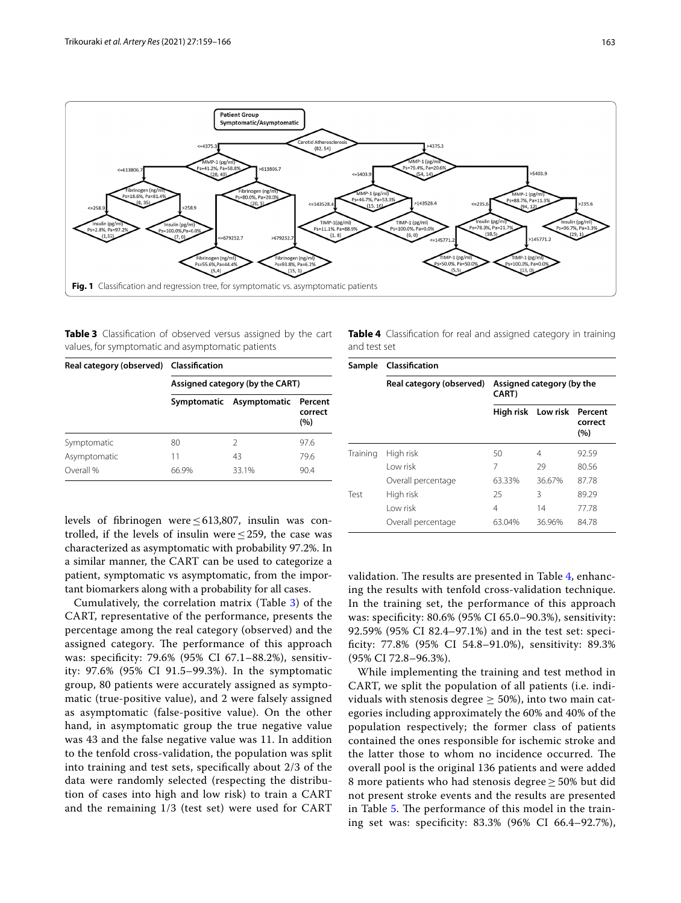

<span id="page-4-1"></span><span id="page-4-0"></span>**Table 3** Classifcation of observed versus assigned by the cart values, for symptomatic and asymptomatic patients

| Real category (observed) Classification |                                 |                          |                           |  |  |
|-----------------------------------------|---------------------------------|--------------------------|---------------------------|--|--|
|                                         | Assigned category (by the CART) |                          |                           |  |  |
|                                         |                                 | Symptomatic Asymptomatic | Percent<br>correct<br>(%) |  |  |
| Symptomatic                             | 80                              | 2                        | 97.6                      |  |  |
| Asymptomatic                            | 11                              | 43                       | 79.6                      |  |  |
| Overall %                               | 66.9%                           | 33.1%                    | 90.4                      |  |  |

levels of fbrinogen were≤613,807, insulin was controlled, if the levels of insulin were  $\leq$  259, the case was characterized as asymptomatic with probability 97.2%. In a similar manner, the CART can be used to categorize a patient, symptomatic vs asymptomatic, from the important biomarkers along with a probability for all cases.

Cumulatively, the correlation matrix (Table [3\)](#page-4-1) of the CART, representative of the performance, presents the percentage among the real category (observed) and the assigned category. The performance of this approach was: specifcity: 79.6% (95% CI 67.1–88.2%), sensitivity: 97.6% (95% CI 91.5–99.3%). In the symptomatic group, 80 patients were accurately assigned as symptomatic (true-positive value), and 2 were falsely assigned as asymptomatic (false-positive value). On the other hand, in asymptomatic group the true negative value was 43 and the false negative value was 11. In addition to the tenfold cross-validation, the population was split into training and test sets, specifcally about 2/3 of the data were randomly selected (respecting the distribution of cases into high and low risk) to train a CART and the remaining 1/3 (test set) were used for CART <span id="page-4-2"></span>**Table 4** Classifcation for real and assigned category in training and test set

| Sample   | Classification           |                                            |                    |                           |  |
|----------|--------------------------|--------------------------------------------|--------------------|---------------------------|--|
|          | Real category (observed) | Assigned category (by the<br><b>CART</b> ) |                    |                           |  |
|          |                          |                                            | High risk Low risk | Percent<br>correct<br>(%) |  |
| Training | High risk                | 50                                         | 4                  | 92.59                     |  |
|          | Low risk                 | 7                                          | 29                 | 80.56                     |  |
|          | Overall percentage       | 63.33%                                     | 36.67%             | 87.78                     |  |
| Test     | High risk                | 25                                         | 3                  | 89.29                     |  |
|          | Low risk                 | 4                                          | 14                 | 77.78                     |  |
|          | Overall percentage       | 63.04%                                     | 36.96%             | 84.78                     |  |

validation. The results are presented in Table  $4$ , enhancing the results with tenfold cross-validation technique. In the training set, the performance of this approach was: specifcity: 80.6% (95% CI 65.0–90.3%), sensitivity: 92.59% (95% CI 82.4–97.1%) and in the test set: specifcity: 77.8% (95% CI 54.8–91.0%), sensitivity: 89.3% (95% CI 72.8–96.3%).

While implementing the training and test method in CART, we split the population of all patients (i.e. individuals with stenosis degree  $\geq$  50%), into two main categories including approximately the 60% and 40% of the population respectively; the former class of patients contained the ones responsible for ischemic stroke and the latter those to whom no incidence occurred. The overall pool is the original 136 patients and were added 8 more patients who had stenosis degree  $\geq$  50% but did not present stroke events and the results are presented in Table [5.](#page-5-0) The performance of this model in the training set was: specifcity: 83.3% (96% CI 66.4–92.7%),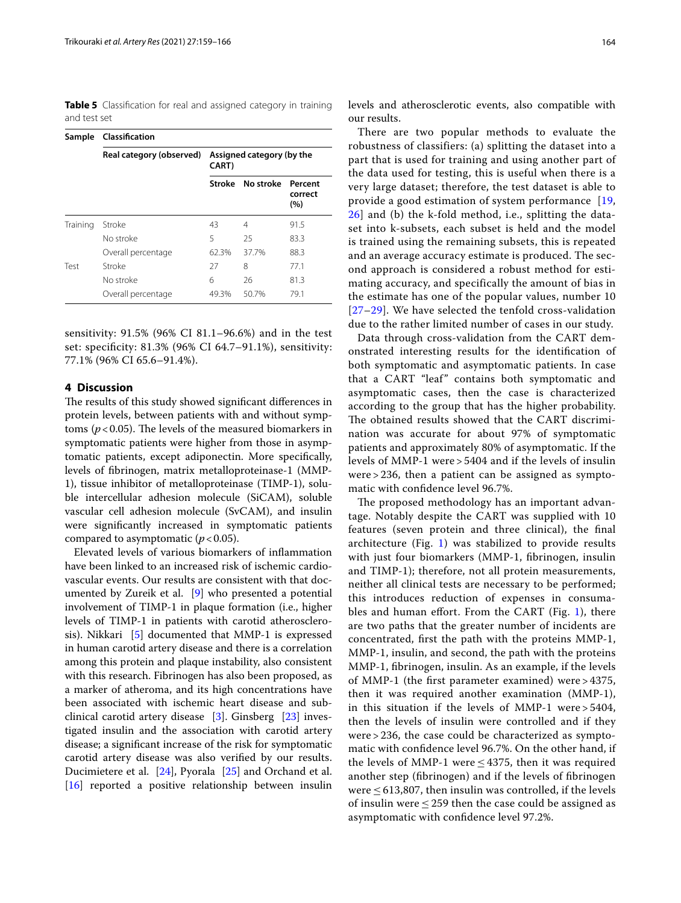<span id="page-5-0"></span>**Table 5** Classification for real and assigned category in training and test set

| Sample   | Classification           |                                            |           |                           |  |
|----------|--------------------------|--------------------------------------------|-----------|---------------------------|--|
|          | Real category (observed) | Assigned category (by the<br><b>CART</b> ) |           |                           |  |
|          |                          | Stroke                                     | No stroke | Percent<br>correct<br>(%) |  |
| Training | Stroke                   | 43                                         | 4         | 91.5                      |  |
|          | No stroke                | 5                                          | 25        | 83.3                      |  |
|          | Overall percentage       | 62.3%                                      | 37.7%     | 88.3                      |  |
| Test     | Stroke                   | 27                                         | 8         | 771                       |  |
|          | No stroke                | 6                                          | 26        | 81.3                      |  |
|          | Overall percentage       | 49.3%                                      | 50.7%     | 79.1                      |  |

sensitivity: 91.5% (96% CI 81.1–96.6%) and in the test set: specifcity: 81.3% (96% CI 64.7–91.1%), sensitivity: 77.1% (96% CI 65.6–91.4%).

## **4 Discussion**

The results of this study showed significant differences in protein levels, between patients with and without symptoms ( $p < 0.05$ ). The levels of the measured biomarkers in symptomatic patients were higher from those in asymptomatic patients, except adiponectin. More specifcally, levels of fbrinogen, matrix metalloproteinase-1 (MMP-1), tissue inhibitor of metalloproteinase (TIMP-1), soluble intercellular adhesion molecule (SiCAM), soluble vascular cell adhesion molecule (SvCAM), and insulin were signifcantly increased in symptomatic patients compared to asymptomatic  $(p < 0.05)$ .

Elevated levels of various biomarkers of infammation have been linked to an increased risk of ischemic cardiovascular events. Our results are consistent with that documented by Zureik et al. [\[9](#page-7-8)] who presented a potential involvement of TIMP-1 in plaque formation (i.e., higher levels of TIMP-1 in patients with carotid atherosclerosis). Nikkari [[5](#page-7-4)] documented that MMP-1 is expressed in human carotid artery disease and there is a correlation among this protein and plaque instability, also consistent with this research. Fibrinogen has also been proposed, as a marker of atheroma, and its high concentrations have been associated with ischemic heart disease and subclinical carotid artery disease [[3\]](#page-7-2). Ginsberg [[23](#page-7-22)] investigated insulin and the association with carotid artery disease; a signifcant increase of the risk for symptomatic carotid artery disease was also verifed by our results. Ducimietere et al. [\[24](#page-7-23)], Pyorala [\[25](#page-7-24)] and Orchand et al. [[16\]](#page-7-15) reported a positive relationship between insulin

levels and atherosclerotic events, also compatible with our results.

There are two popular methods to evaluate the robustness of classifiers: (a) splitting the dataset into a part that is used for training and using another part of the data used for testing, this is useful when there is a very large dataset; therefore, the test dataset is able to provide a good estimation of system performance [[19](#page-7-18), [26\]](#page-7-25) and (b) the k-fold method, i.e., splitting the dataset into k-subsets, each subset is held and the model is trained using the remaining subsets, this is repeated and an average accuracy estimate is produced. The second approach is considered a robust method for estimating accuracy, and specifically the amount of bias in the estimate has one of the popular values, number 10 [[27](#page-7-26)[–29\]](#page-7-27). We have selected the tenfold cross-validation due to the rather limited number of cases in our study.

Data through cross-validation from the CART demonstrated interesting results for the identifcation of both symptomatic and asymptomatic patients. In case that a CART "leaf" contains both symptomatic and asymptomatic cases, then the case is characterized according to the group that has the higher probability. The obtained results showed that the CART discrimination was accurate for about 97% of symptomatic patients and approximately 80% of asymptomatic. If the levels of MMP-1 were > 5404 and if the levels of insulin were > 236, then a patient can be assigned as symptomatic with confdence level 96.7%.

The proposed methodology has an important advantage. Notably despite the CART was supplied with 10 features (seven protein and three clinical), the fnal architecture (Fig. [1](#page-4-0)) was stabilized to provide results with just four biomarkers (MMP-1, fibrinogen, insulin and TIMP-1); therefore, not all protein measurements, neither all clinical tests are necessary to be performed; this introduces reduction of expenses in consuma-bles and human effort. From the CART (Fig. [1\)](#page-4-0), there are two paths that the greater number of incidents are concentrated, frst the path with the proteins MMP-1, MMP-1, insulin, and second, the path with the proteins MMP-1, fbrinogen, insulin. As an example, if the levels of MMP-1 (the frst parameter examined) were > 4375, then it was required another examination (MMP-1), in this situation if the levels of MMP-1 were > 5404, then the levels of insulin were controlled and if they were > 236, the case could be characterized as symptomatic with confdence level 96.7%. On the other hand, if the levels of MMP-1 were  $\leq$  4375, then it was required another step (fbrinogen) and if the levels of fbrinogen were  $\leq$  613,807, then insulin was controlled, if the levels of insulin were  $\leq$  259 then the case could be assigned as asymptomatic with confdence level 97.2%.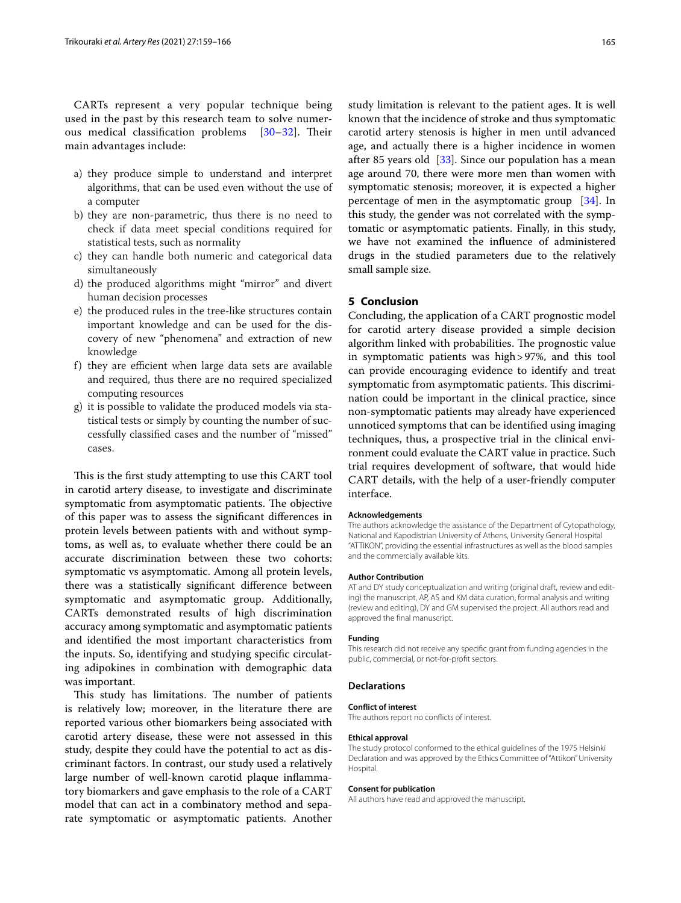CARTs represent a very popular technique being used in the past by this research team to solve numerous medical classification problems  $[30-32]$  $[30-32]$ . Their main advantages include:

- a) they produce simple to understand and interpret algorithms, that can be used even without the use of a computer
- b) they are non-parametric, thus there is no need to check if data meet special conditions required for statistical tests, such as normality
- c) they can handle both numeric and categorical data simultaneously
- d) the produced algorithms might "mirror" and divert human decision processes
- e) the produced rules in the tree-like structures contain important knowledge and can be used for the discovery of new "phenomena" and extraction of new knowledge
- f) they are efficient when large data sets are available and required, thus there are no required specialized computing resources
- g) it is possible to validate the produced models via statistical tests or simply by counting the number of successfully classifed cases and the number of "missed" cases.

This is the first study attempting to use this CART tool in carotid artery disease, to investigate and discriminate symptomatic from asymptomatic patients. The objective of this paper was to assess the signifcant diferences in protein levels between patients with and without symptoms, as well as, to evaluate whether there could be an accurate discrimination between these two cohorts: symptomatic vs asymptomatic. Among all protein levels, there was a statistically signifcant diference between symptomatic and asymptomatic group. Additionally, CARTs demonstrated results of high discrimination accuracy among symptomatic and asymptomatic patients and identifed the most important characteristics from the inputs. So, identifying and studying specifc circulating adipokines in combination with demographic data was important.

This study has limitations. The number of patients is relatively low; moreover, in the literature there are reported various other biomarkers being associated with carotid artery disease, these were not assessed in this study, despite they could have the potential to act as discriminant factors. In contrast, our study used a relatively large number of well-known carotid plaque infammatory biomarkers and gave emphasis to the role of a CART model that can act in a combinatory method and separate symptomatic or asymptomatic patients. Another study limitation is relevant to the patient ages. It is well known that the incidence of stroke and thus symptomatic carotid artery stenosis is higher in men until advanced age, and actually there is a higher incidence in women after 85 years old [[33\]](#page-7-30). Since our population has a mean age around 70, there were more men than women with symptomatic stenosis; moreover, it is expected a higher percentage of men in the asymptomatic group [[34\]](#page-7-31). In this study, the gender was not correlated with the symptomatic or asymptomatic patients. Finally, in this study, we have not examined the infuence of administered drugs in the studied parameters due to the relatively small sample size.

## **5 Conclusion**

Concluding, the application of a CART prognostic model for carotid artery disease provided a simple decision algorithm linked with probabilities. The prognostic value in symptomatic patients was high>97%, and this tool can provide encouraging evidence to identify and treat symptomatic from asymptomatic patients. This discrimination could be important in the clinical practice, since non-symptomatic patients may already have experienced unnoticed symptoms that can be identifed using imaging techniques, thus, a prospective trial in the clinical environment could evaluate the CART value in practice. Such trial requires development of software, that would hide CART details, with the help of a user-friendly computer interface.

#### **Acknowledgements**

The authors acknowledge the assistance of the Department of Cytopathology, National and Kapodistrian University of Athens, University General Hospital "ATTIKON", providing the essential infrastructures as well as the blood samples and the commercially available kits.

#### **Author Contribution**

AT and DY study conceptualization and writing (original draft, review and editing) the manuscript, AP, AS and KM data curation, formal analysis and writing (review and editing), DY and GM supervised the project. All authors read and approved the fnal manuscript.

#### **Funding**

This research did not receive any specifc grant from funding agencies in the public, commercial, or not-for-proft sectors.

#### **Declarations**

#### **Conflict of interest**

The authors report no conficts of interest.

#### **Ethical approval**

The study protocol conformed to the ethical guidelines of the 1975 Helsinki Declaration and was approved by the Ethics Committee of "Attikon" University Hospital.

#### **Consent for publication**

All authors have read and approved the manuscript.